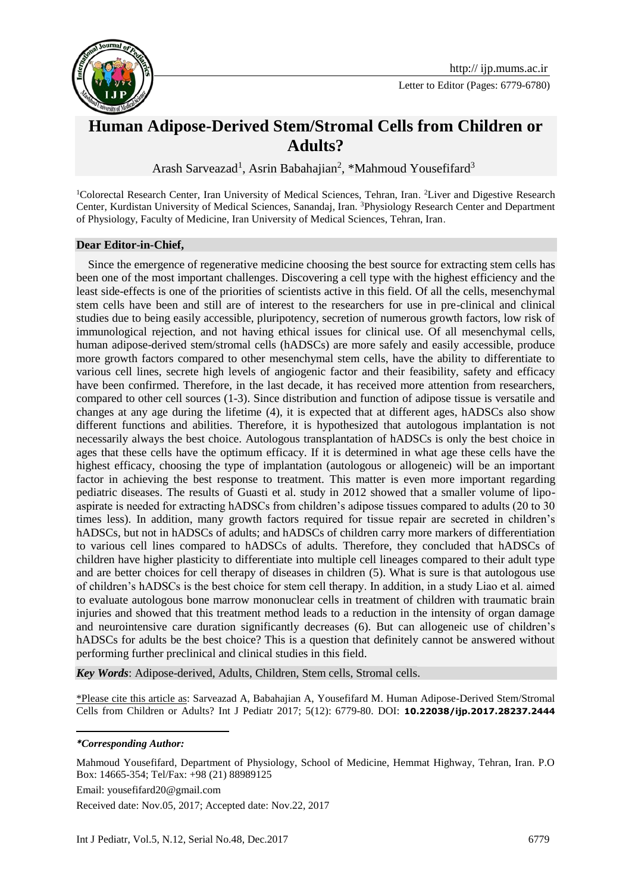

## **Human Adipose-Derived Stem/Stromal Cells from Children or Adults?**

Arash Sarveazad<sup>1</sup>, Asrin Babahajian<sup>2</sup>, \*Mahmoud Yousefifard<sup>3</sup>

<sup>1</sup>Colorectal Research Center, Iran University of Medical Sciences, Tehran, Iran. <sup>2</sup>Liver and Digestive Research Center, Kurdistan University of Medical Sciences, Sanandaj, Iran. <sup>3</sup>Physiology Research Center and Department of Physiology, Faculty of Medicine, Iran University of Medical Sciences, Tehran, Iran.

## **Dear Editor-in-Chief,**

 Since the emergence of regenerative medicine choosing the best source for extracting stem cells has been one of the most important challenges. Discovering a cell type with the highest efficiency and the least side-effects is one of the priorities of scientists active in this field. Of all the cells, mesenchymal stem cells have been and still are of interest to the researchers for use in pre-clinical and clinical studies due to being easily accessible, pluripotency, secretion of numerous growth factors, low risk of immunological rejection, and not having ethical issues for clinical use. Of all mesenchymal cells, human adipose-derived stem/stromal cells (hADSCs) are more safely and easily accessible, produce more growth factors compared to other mesenchymal stem cells, have the ability to differentiate to various cell lines, secrete high levels of angiogenic factor and their feasibility, safety and efficacy have been confirmed. Therefore, in the last decade, it has received more attention from researchers, compared to other cell sources [\(1-3\)](#page-1-0). Since distribution and function of adipose tissue is versatile and changes at any age during the lifetime [\(4\)](#page-1-1), it is expected that at different ages, hADSCs also show different functions and abilities. Therefore, it is hypothesized that autologous implantation is not necessarily always the best choice. Autologous transplantation of hADSCs is only the best choice in ages that these cells have the optimum efficacy. If it is determined in what age these cells have the highest efficacy, choosing the type of implantation (autologous or allogeneic) will be an important factor in achieving the best response to treatment. This matter is even more important regarding pediatric diseases. The results of Guasti et al. study in 2012 showed that a smaller volume of lipoaspirate is needed for extracting hADSCs from children's adipose tissues compared to adults (20 to 30 times less). In addition, many growth factors required for tissue repair are secreted in children's hADSCs, but not in hADSCs of adults; and hADSCs of children carry more markers of differentiation to various cell lines compared to hADSCs of adults. Therefore, they concluded that hADSCs of children have higher plasticity to differentiate into multiple cell lineages compared to their adult type and are better choices for cell therapy of diseases in children [\(5\)](#page-1-2). What is sure is that autologous use of children's hADSCs is the best choice for stem cell therapy. In addition, in a study Liao et al. aimed to evaluate autologous bone marrow mononuclear cells in treatment of children with traumatic brain injuries and showed that this treatment method leads to a reduction in the intensity of organ damage and neurointensive care duration significantly decreases [\(6\)](#page-1-3). But can allogeneic use of children's hADSCs for adults be the best choice? This is a question that definitely cannot be answered without performing further preclinical and clinical studies in this field.

*Key Words*: Adipose-derived, Adults, Children, Stem cells, Stromal cells.

\*Please cite this article as: Sarveazad A, Babahajian A, Yousefifard M. Human Adipose-Derived Stem/Stromal Cells from Children or Adults? Int J Pediatr 2017; 5(12): 6779-80. DOI: **10.22038/ijp.2017.28237.2444**

**.** 

Email: yousefifard20@gmail.com

Received date: Nov.05, 2017; Accepted date: Nov.22, 2017

*<sup>\*</sup>Corresponding Author:*

Mahmoud Yousefifard, Department of Physiology, School of Medicine, Hemmat Highway, Tehran, Iran. P.O Box: 14665-354; Tel/Fax: +98 (21) 88989125